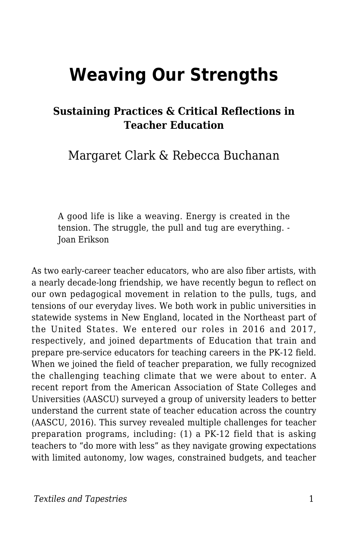# **Weaving Our Strengths**

### **Sustaining Practices & Critical Reflections in Teacher Education**

Margaret Clark & Rebecca Buchanan

A good life is like a weaving. Energy is created in the tension. The struggle, the pull and tug are everything. - Joan Erikson

As two early-career teacher educators, who are also fiber artists, with a nearly decade-long friendship, we have recently begun to reflect on our own pedagogical movement in relation to the pulls, tugs, and tensions of our everyday lives. We both work in public universities in statewide systems in New England, located in the Northeast part of the United States. We entered our roles in 2016 and 2017, respectively, and joined departments of Education that train and prepare pre-service educators for teaching careers in the PK-12 field. When we joined the field of teacher preparation, we fully recognized the challenging teaching climate that we were about to enter. A recent report from the American Association of State Colleges and Universities (AASCU) surveyed a group of university leaders to better understand the current state of teacher education across the country (AASCU, 2016). This survey revealed multiple challenges for teacher preparation programs, including: (1) a PK-12 field that is asking teachers to "do more with less" as they navigate growing expectations with limited autonomy, low wages, constrained budgets, and teacher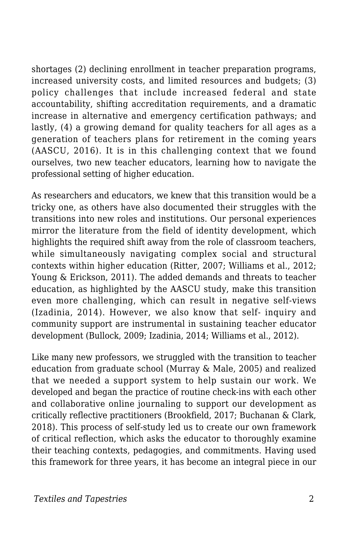shortages (2) declining enrollment in teacher preparation programs, increased university costs, and limited resources and budgets; (3) policy challenges that include increased federal and state accountability, shifting accreditation requirements, and a dramatic increase in alternative and emergency certification pathways; and lastly, (4) a growing demand for quality teachers for all ages as a generation of teachers plans for retirement in the coming years (AASCU, 2016). It is in this challenging context that we found ourselves, two new teacher educators, learning how to navigate the professional setting of higher education.

As researchers and educators, we knew that this transition would be a tricky one, as others have also documented their struggles with the transitions into new roles and institutions. Our personal experiences mirror the literature from the field of identity development, which highlights the required shift away from the role of classroom teachers, while simultaneously navigating complex social and structural contexts within higher education (Ritter, 2007; Williams et al., 2012; Young & Erickson, 2011). The added demands and threats to teacher education, as highlighted by the AASCU study, make this transition even more challenging, which can result in negative self-views (Izadinia, 2014). However, we also know that self- inquiry and community support are instrumental in sustaining teacher educator development (Bullock, 2009; Izadinia, 2014; Williams et al., 2012).

Like many new professors, we struggled with the transition to teacher education from graduate school (Murray & Male, 2005) and realized that we needed a support system to help sustain our work. We developed and began the practice of routine check-ins with each other and collaborative online journaling to support our development as critically reflective practitioners (Brookfield, 2017; Buchanan & Clark, 2018). This process of self-study led us to create our own framework of critical reflection, which asks the educator to thoroughly examine their teaching contexts, pedagogies, and commitments. Having used this framework for three years, it has become an integral piece in our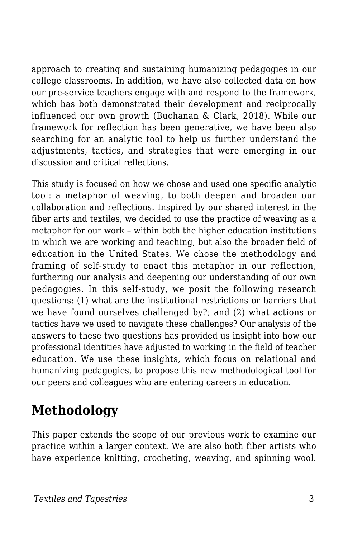approach to creating and sustaining humanizing pedagogies in our college classrooms. In addition, we have also collected data on how our pre-service teachers engage with and respond to the framework, which has both demonstrated their development and reciprocally influenced our own growth (Buchanan & Clark, 2018). While our framework for reflection has been generative, we have been also searching for an analytic tool to help us further understand the adjustments, tactics, and strategies that were emerging in our discussion and critical reflections.

This study is focused on how we chose and used one specific analytic tool: a metaphor of weaving, to both deepen and broaden our collaboration and reflections. Inspired by our shared interest in the fiber arts and textiles, we decided to use the practice of weaving as a metaphor for our work – within both the higher education institutions in which we are working and teaching, but also the broader field of education in the United States. We chose the methodology and framing of self-study to enact this metaphor in our reflection, furthering our analysis and deepening our understanding of our own pedagogies. In this self-study, we posit the following research questions: (1) what are the institutional restrictions or barriers that we have found ourselves challenged by?; and (2) what actions or tactics have we used to navigate these challenges? Our analysis of the answers to these two questions has provided us insight into how our professional identities have adjusted to working in the field of teacher education. We use these insights, which focus on relational and humanizing pedagogies, to propose this new methodological tool for our peers and colleagues who are entering careers in education.

### **Methodology**

This paper extends the scope of our previous work to examine our practice within a larger context. We are also both fiber artists who have experience knitting, crocheting, weaving, and spinning wool.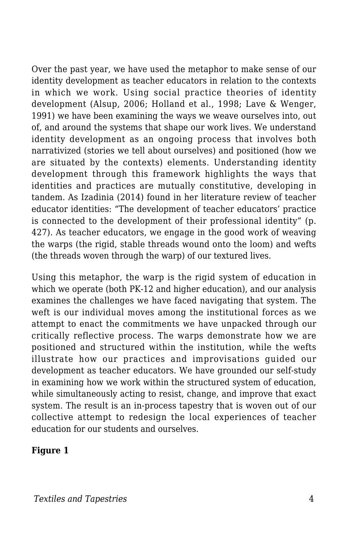Over the past year, we have used the metaphor to make sense of our identity development as teacher educators in relation to the contexts in which we work. Using social practice theories of identity development (Alsup, 2006; Holland et al., 1998; Lave & Wenger, 1991) we have been examining the ways we weave ourselves into, out of, and around the systems that shape our work lives. We understand identity development as an ongoing process that involves both narrativized (stories we tell about ourselves) and positioned (how we are situated by the contexts) elements. Understanding identity development through this framework highlights the ways that identities and practices are mutually constitutive, developing in tandem. As Izadinia (2014) found in her literature review of teacher educator identities: "The development of teacher educators' practice is connected to the development of their professional identity" (p. 427). As teacher educators, we engage in the good work of weaving the warps (the rigid, stable threads wound onto the loom) and wefts (the threads woven through the warp) of our textured lives.

Using this metaphor, the warp is the rigid system of education in which we operate (both PK-12 and higher education), and our analysis examines the challenges we have faced navigating that system. The weft is our individual moves among the institutional forces as we attempt to enact the commitments we have unpacked through our critically reflective process. The warps demonstrate how we are positioned and structured within the institution, while the wefts illustrate how our practices and improvisations guided our development as teacher educators. We have grounded our self-study in examining how we work within the structured system of education, while simultaneously acting to resist, change, and improve that exact system. The result is an in-process tapestry that is woven out of our collective attempt to redesign the local experiences of teacher education for our students and ourselves.

#### **Figure 1**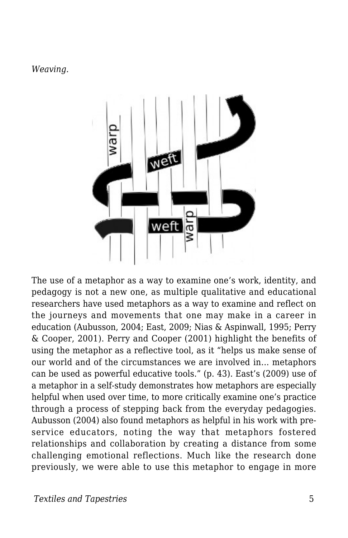#### *Weaving.*



The use of a metaphor as a way to examine one's work, identity, and pedagogy is not a new one, as multiple qualitative and educational researchers have used metaphors as a way to examine and reflect on the journeys and movements that one may make in a career in education (Aubusson, 2004; East, 2009; Nias & Aspinwall, 1995; Perry & Cooper, 2001). Perry and Cooper (2001) highlight the benefits of using the metaphor as a reflective tool, as it "helps us make sense of our world and of the circumstances we are involved in... metaphors can be used as powerful educative tools." (p. 43). East's (2009) use of a metaphor in a self-study demonstrates how metaphors are especially helpful when used over time, to more critically examine one's practice through a process of stepping back from the everyday pedagogies. Aubusson (2004) also found metaphors as helpful in his work with preservice educators, noting the way that metaphors fostered relationships and collaboration by creating a distance from some challenging emotional reflections. Much like the research done previously, we were able to use this metaphor to engage in more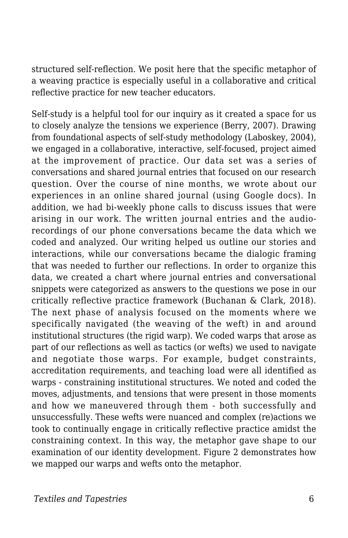structured self-reflection. We posit here that the specific metaphor of a weaving practice is especially useful in a collaborative and critical reflective practice for new teacher educators.

Self-study is a helpful tool for our inquiry as it created a space for us to closely analyze the tensions we experience (Berry, 2007). Drawing from foundational aspects of self-study methodology (Laboskey, 2004), we engaged in a collaborative, interactive, self-focused, project aimed at the improvement of practice. Our data set was a series of conversations and shared journal entries that focused on our research question. Over the course of nine months, we wrote about our experiences in an online shared journal (using Google docs). In addition, we had bi-weekly phone calls to discuss issues that were arising in our work. The written journal entries and the audiorecordings of our phone conversations became the data which we coded and analyzed. Our writing helped us outline our stories and interactions, while our conversations became the dialogic framing that was needed to further our reflections. In order to organize this data, we created a chart where journal entries and conversational snippets were categorized as answers to the questions we pose in our critically reflective practice framework (Buchanan & Clark, 2018). The next phase of analysis focused on the moments where we specifically navigated (the weaving of the weft) in and around institutional structures (the rigid warp). We coded warps that arose as part of our reflections as well as tactics (or wefts) we used to navigate and negotiate those warps. For example, budget constraints, accreditation requirements, and teaching load were all identified as warps - constraining institutional structures. We noted and coded the moves, adjustments, and tensions that were present in those moments and how we maneuvered through them - both successfully and unsuccessfully. These wefts were nuanced and complex (re)actions we took to continually engage in critically reflective practice amidst the constraining context. In this way, the metaphor gave shape to our examination of our identity development. Figure 2 demonstrates how we mapped our warps and wefts onto the metaphor.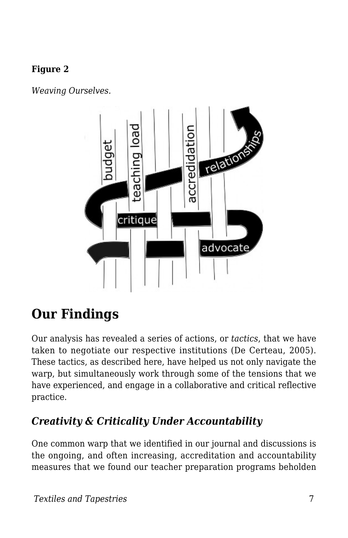#### **Figure 2**

*Weaving Ourselves.*



## **Our Findings**

Our analysis has revealed a series of actions, or *tactics*, that we have taken to negotiate our respective institutions (De Certeau, 2005). These tactics, as described here, have helped us not only navigate the warp, but simultaneously work through some of the tensions that we have experienced, and engage in a collaborative and critical reflective practice.

### *Creativity & Criticality Under Accountability*

One common warp that we identified in our journal and discussions is the ongoing, and often increasing, accreditation and accountability measures that we found our teacher preparation programs beholden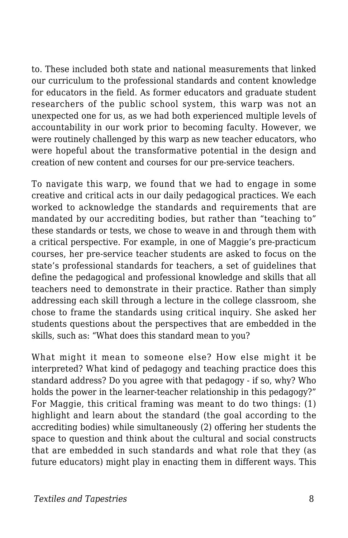to. These included both state and national measurements that linked our curriculum to the professional standards and content knowledge for educators in the field. As former educators and graduate student researchers of the public school system, this warp was not an unexpected one for us, as we had both experienced multiple levels of accountability in our work prior to becoming faculty. However, we were routinely challenged by this warp as new teacher educators, who were hopeful about the transformative potential in the design and creation of new content and courses for our pre-service teachers.

To navigate this warp, we found that we had to engage in some creative and critical acts in our daily pedagogical practices. We each worked to acknowledge the standards and requirements that are mandated by our accrediting bodies, but rather than "teaching to" these standards or tests, we chose to weave in and through them with a critical perspective. For example, in one of Maggie's pre-practicum courses, her pre-service teacher students are asked to focus on the state's professional standards for teachers, a set of guidelines that define the pedagogical and professional knowledge and skills that all teachers need to demonstrate in their practice. Rather than simply addressing each skill through a lecture in the college classroom, she chose to frame the standards using critical inquiry. She asked her students questions about the perspectives that are embedded in the skills, such as: "What does this standard mean to you?

What might it mean to someone else? How else might it be interpreted? What kind of pedagogy and teaching practice does this standard address? Do you agree with that pedagogy - if so, why? Who holds the power in the learner-teacher relationship in this pedagogy?" For Maggie, this critical framing was meant to do two things: (1) highlight and learn about the standard (the goal according to the accrediting bodies) while simultaneously (2) offering her students the space to question and think about the cultural and social constructs that are embedded in such standards and what role that they (as future educators) might play in enacting them in different ways. This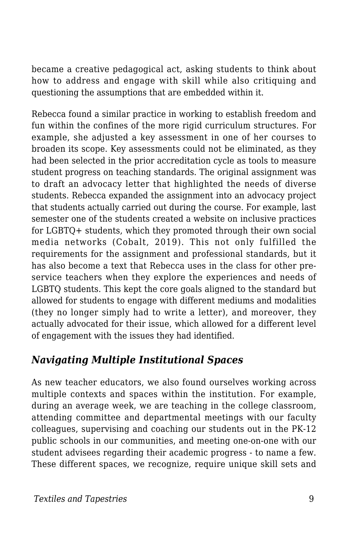became a creative pedagogical act, asking students to think about how to address and engage with skill while also critiquing and questioning the assumptions that are embedded within it.

Rebecca found a similar practice in working to establish freedom and fun within the confines of the more rigid curriculum structures. For example, she adjusted a key assessment in one of her courses to broaden its scope. Key assessments could not be eliminated, as they had been selected in the prior accreditation cycle as tools to measure student progress on teaching standards. The original assignment was to draft an advocacy letter that highlighted the needs of diverse students. Rebecca expanded the assignment into an advocacy project that students actually carried out during the course. For example, last semester one of the students created a website on inclusive practices for LGBTQ+ students, which they promoted through their own social media networks (Cobalt, 2019). This not only fulfilled the requirements for the assignment and professional standards, but it has also become a text that Rebecca uses in the class for other preservice teachers when they explore the experiences and needs of LGBTQ students. This kept the core goals aligned to the standard but allowed for students to engage with different mediums and modalities (they no longer simply had to write a letter), and moreover, they actually advocated for their issue, which allowed for a different level of engagement with the issues they had identified.

### *Navigating Multiple Institutional Spaces*

As new teacher educators, we also found ourselves working across multiple contexts and spaces within the institution. For example, during an average week, we are teaching in the college classroom, attending committee and departmental meetings with our faculty colleagues, supervising and coaching our students out in the PK-12 public schools in our communities, and meeting one-on-one with our student advisees regarding their academic progress - to name a few. These different spaces, we recognize, require unique skill sets and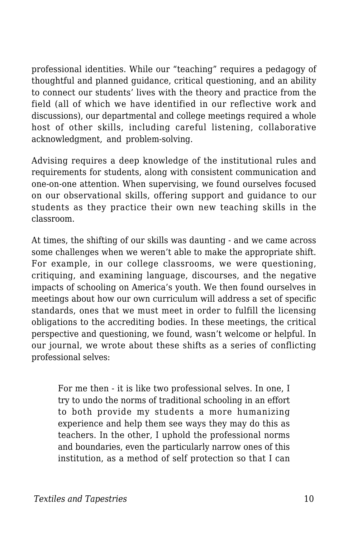professional identities. While our "teaching" requires a pedagogy of thoughtful and planned guidance, critical questioning, and an ability to connect our students' lives with the theory and practice from the field (all of which we have identified in our reflective work and discussions), our departmental and college meetings required a whole host of other skills, including careful listening, collaborative acknowledgment, and problem-solving.

Advising requires a deep knowledge of the institutional rules and requirements for students, along with consistent communication and one-on-one attention. When supervising, we found ourselves focused on our observational skills, offering support and guidance to our students as they practice their own new teaching skills in the classroom.

At times, the shifting of our skills was daunting - and we came across some challenges when we weren't able to make the appropriate shift. For example, in our college classrooms, we were questioning, critiquing, and examining language, discourses, and the negative impacts of schooling on America's youth. We then found ourselves in meetings about how our own curriculum will address a set of specific standards, ones that we must meet in order to fulfill the licensing obligations to the accrediting bodies. In these meetings, the critical perspective and questioning, we found, wasn't welcome or helpful. In our journal, we wrote about these shifts as a series of conflicting professional selves:

For me then - it is like two professional selves. In one, I try to undo the norms of traditional schooling in an effort to both provide my students a more humanizing experience and help them see ways they may do this as teachers. In the other, I uphold the professional norms and boundaries, even the particularly narrow ones of this institution, as a method of self protection so that I can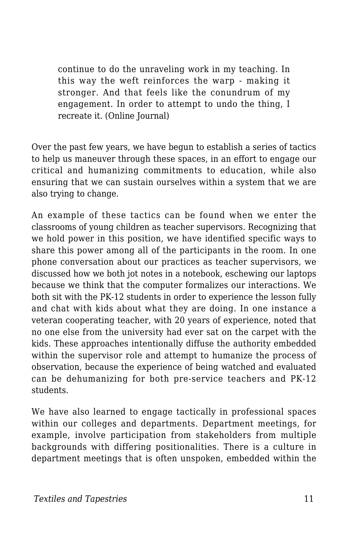continue to do the unraveling work in my teaching. In this way the weft reinforces the warp - making it stronger. And that feels like the conundrum of my engagement. In order to attempt to undo the thing, I recreate it. (Online Journal)

Over the past few years, we have begun to establish a series of tactics to help us maneuver through these spaces, in an effort to engage our critical and humanizing commitments to education, while also ensuring that we can sustain ourselves within a system that we are also trying to change.

An example of these tactics can be found when we enter the classrooms of young children as teacher supervisors. Recognizing that we hold power in this position, we have identified specific ways to share this power among all of the participants in the room. In one phone conversation about our practices as teacher supervisors, we discussed how we both jot notes in a notebook, eschewing our laptops because we think that the computer formalizes our interactions. We both sit with the PK-12 students in order to experience the lesson fully and chat with kids about what they are doing. In one instance a veteran cooperating teacher, with 20 years of experience, noted that no one else from the university had ever sat on the carpet with the kids. These approaches intentionally diffuse the authority embedded within the supervisor role and attempt to humanize the process of observation, because the experience of being watched and evaluated can be dehumanizing for both pre-service teachers and PK-12 students.

We have also learned to engage tactically in professional spaces within our colleges and departments. Department meetings, for example, involve participation from stakeholders from multiple backgrounds with differing positionalities. There is a culture in department meetings that is often unspoken, embedded within the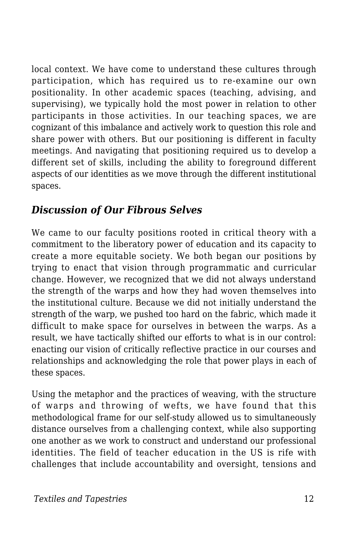local context. We have come to understand these cultures through participation, which has required us to re-examine our own positionality. In other academic spaces (teaching, advising, and supervising), we typically hold the most power in relation to other participants in those activities. In our teaching spaces, we are cognizant of this imbalance and actively work to question this role and share power with others. But our positioning is different in faculty meetings. And navigating that positioning required us to develop a different set of skills, including the ability to foreground different aspects of our identities as we move through the different institutional spaces.

### *Discussion of Our Fibrous Selves*

We came to our faculty positions rooted in critical theory with a commitment to the liberatory power of education and its capacity to create a more equitable society. We both began our positions by trying to enact that vision through programmatic and curricular change. However, we recognized that we did not always understand the strength of the warps and how they had woven themselves into the institutional culture. Because we did not initially understand the strength of the warp, we pushed too hard on the fabric, which made it difficult to make space for ourselves in between the warps. As a result, we have tactically shifted our efforts to what is in our control: enacting our vision of critically reflective practice in our courses and relationships and acknowledging the role that power plays in each of these spaces.

Using the metaphor and the practices of weaving, with the structure of warps and throwing of wefts, we have found that this methodological frame for our self-study allowed us to simultaneously distance ourselves from a challenging context, while also supporting one another as we work to construct and understand our professional identities. The field of teacher education in the US is rife with challenges that include accountability and oversight, tensions and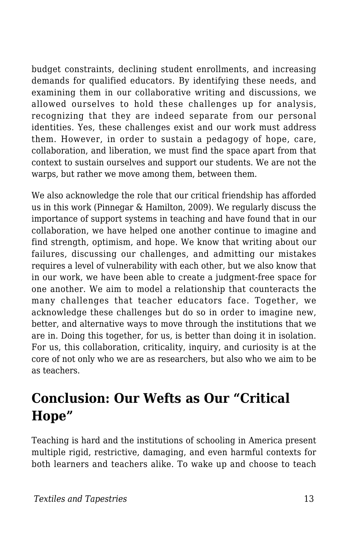budget constraints, declining student enrollments, and increasing demands for qualified educators. By identifying these needs, and examining them in our collaborative writing and discussions, we allowed ourselves to hold these challenges up for analysis, recognizing that they are indeed separate from our personal identities. Yes, these challenges exist and our work must address them. However, in order to sustain a pedagogy of hope, care, collaboration, and liberation, we must find the space apart from that context to sustain ourselves and support our students. We are not the warps, but rather we move among them, between them.

We also acknowledge the role that our critical friendship has afforded us in this work (Pinnegar & Hamilton, 2009). We regularly discuss the importance of support systems in teaching and have found that in our collaboration, we have helped one another continue to imagine and find strength, optimism, and hope. We know that writing about our failures, discussing our challenges, and admitting our mistakes requires a level of vulnerability with each other, but we also know that in our work, we have been able to create a judgment-free space for one another. We aim to model a relationship that counteracts the many challenges that teacher educators face. Together, we acknowledge these challenges but do so in order to imagine new, better, and alternative ways to move through the institutions that we are in. Doing this together, for us, is better than doing it in isolation. For us, this collaboration, criticality, inquiry, and curiosity is at the core of not only who we are as researchers, but also who we aim to be as teachers.

### **Conclusion: Our Wefts as Our "Critical Hope"**

Teaching is hard and the institutions of schooling in America present multiple rigid, restrictive, damaging, and even harmful contexts for both learners and teachers alike. To wake up and choose to teach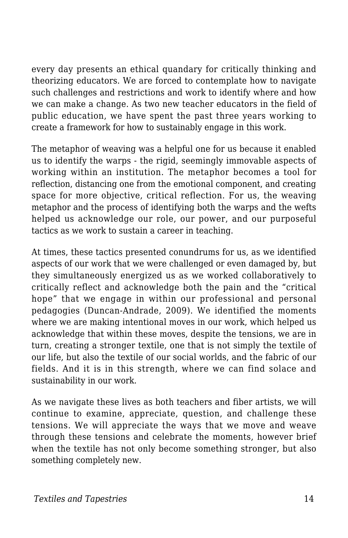every day presents an ethical quandary for critically thinking and theorizing educators. We are forced to contemplate how to navigate such challenges and restrictions and work to identify where and how we can make a change. As two new teacher educators in the field of public education, we have spent the past three years working to create a framework for how to sustainably engage in this work.

The metaphor of weaving was a helpful one for us because it enabled us to identify the warps - the rigid, seemingly immovable aspects of working within an institution. The metaphor becomes a tool for reflection, distancing one from the emotional component, and creating space for more objective, critical reflection. For us, the weaving metaphor and the process of identifying both the warps and the wefts helped us acknowledge our role, our power, and our purposeful tactics as we work to sustain a career in teaching.

At times, these tactics presented conundrums for us, as we identified aspects of our work that we were challenged or even damaged by, but they simultaneously energized us as we worked collaboratively to critically reflect and acknowledge both the pain and the "critical hope" that we engage in within our professional and personal pedagogies (Duncan-Andrade, 2009). We identified the moments where we are making intentional moves in our work, which helped us acknowledge that within these moves, despite the tensions, we are in turn, creating a stronger textile, one that is not simply the textile of our life, but also the textile of our social worlds, and the fabric of our fields. And it is in this strength, where we can find solace and sustainability in our work.

As we navigate these lives as both teachers and fiber artists, we will continue to examine, appreciate, question, and challenge these tensions. We will appreciate the ways that we move and weave through these tensions and celebrate the moments, however brief when the textile has not only become something stronger, but also something completely new.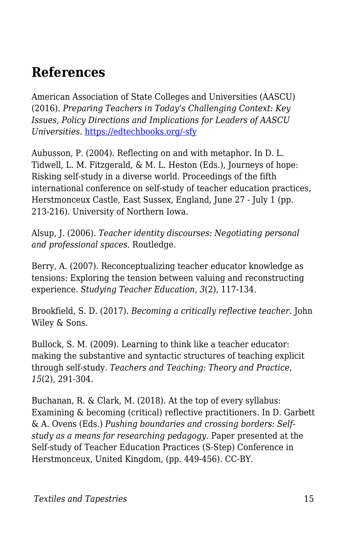### **References**

American Association of State Colleges and Universities (AASCU) (2016). *Preparing Teachers in Today's Challenging Context: Key Issues, Policy Directions and Implications for Leaders of AASCU Universities.* [https://edtechbooks.org/-sfy](http://www.aascu.org/AcademicAffairs/TeacherEdReport.pdf)

Aubusson, P. (2004). Reflecting on and with metaphor. In D. L. Tidwell, L. M. Fitzgerald, & M. L. Heston (Eds.), Journeys of hope: Risking self-study in a diverse world. Proceedings of the fifth international conference on self-study of teacher education practices, Herstmonceux Castle, East Sussex, England, June 27 - July 1 (pp. 213-216). University of Northern Iowa.

Alsup, J. (2006). *Teacher identity discourses: Negotiating personal and professional spaces*. Routledge.

Berry, A. (2007). Reconceptualizing teacher educator knowledge as tensions: Exploring the tension between valuing and reconstructing experience. *Studying Teacher Education, 3*(2), 117-134.

Brookfield, S. D. (2017). *Becoming a critically reflective teacher*. John Wiley & Sons.

Bullock, S. M. (2009). Learning to think like a teacher educator: making the substantive and syntactic structures of teaching explicit through self-study. *Teachers and Teaching: Theory and Practice*, *15*(2), 291-304.

Buchanan, R. & Clark, M. (2018). At the top of every syllabus: Examining & becoming (critical) reflective practitioners. In D. Garbett & A. Ovens (Eds.) *Pushing boundaries and crossing borders: Selfstudy as a means for researching pedagogy.* Paper presented at the Self-study of Teacher Education Practices (S-Step) Conference in Herstmonceux, United Kingdom, (pp. 449-456). CC-BY.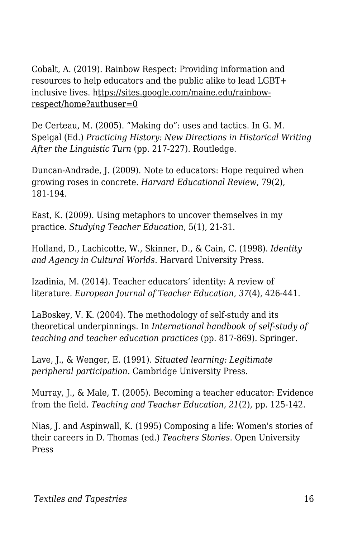Cobalt, A. (2019). Rainbow Respect: Providing information and resources to help educators and the public alike to lead LGBT+ inclusive lives. https://sites.google.com/maine.edu/rainbowrespect/home?authuser=0

De Certeau, M. (2005). "Making do": uses and tactics. In G. M. Speigal (Ed.) *Practicing History: New Directions in Historical Writing After the Linguistic Turn* (pp. 217-227). Routledge.

Duncan-Andrade, J. (2009). Note to educators: Hope required when growing roses in concrete. *Harvard Educational Review*, 79(2), 181-194.

East, K. (2009). Using metaphors to uncover themselves in my practice. *Studying Teacher Education*, 5(1), 21-31.

Holland, D., Lachicotte, W., Skinner, D., & Cain, C. (1998). *Identity and Agency in Cultural Worlds.* Harvard University Press.

Izadinia, M. (2014). Teacher educators' identity: A review of literature. *European Journal of Teacher Education*, *37*(4), 426-441.

LaBoskey, V. K. (2004). The methodology of self-study and its theoretical underpinnings. In *International handbook of self-study of teaching and teacher education practices* (pp. 817-869). Springer.

Lave, J., & Wenger, E. (1991). *Situated learning: Legitimate peripheral participation.* Cambridge University Press.

Murray, J., & Male, T. (2005). Becoming a teacher educator: Evidence from the field. *Teaching and Teacher Education, 21*(2), pp. 125-142.

Nias, J. and Aspinwall, K. (1995) Composing a life: Women's stories of their careers in D. Thomas (ed.) *Teachers Stories*. Open University Press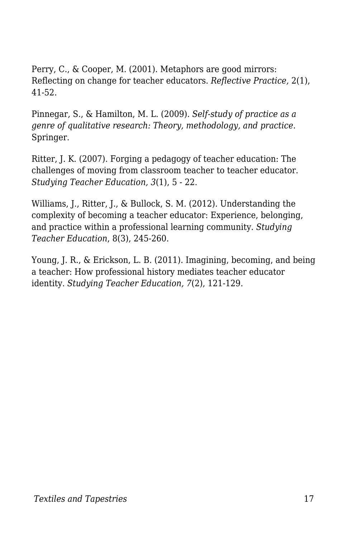Perry, C., & Cooper, M. (2001). Metaphors are good mirrors: Reflecting on change for teacher educators. *Reflective Practice,* 2(1), 41-52.

Pinnegar, S., & Hamilton, M. L. (2009). *Self-study of practice as a genre of qualitative research: Theory, methodology, and practice*. Springer.

Ritter, J. K. (2007). Forging a pedagogy of teacher education: The challenges of moving from classroom teacher to teacher educator. *Studying Teacher Education, 3*(1), 5 - 22.

Williams, J., Ritter, J., & Bullock, S. M. (2012). Understanding the complexity of becoming a teacher educator: Experience, belonging, and practice within a professional learning community. *Studying Teacher Education*, 8(3), 245-260.

Young, J. R., & Erickson, L. B. (2011). Imagining, becoming, and being a teacher: How professional history mediates teacher educator identity. *Studying Teacher Education, 7*(2), 121-129.